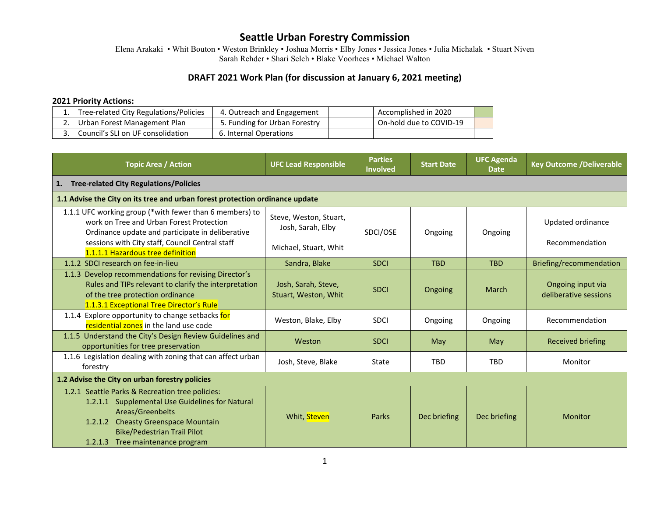Elena Arakaki • Whit Bouton • Weston Brinkley • Joshua Morris • Elby Jones • Jessica Jones • Julia Michalak • Stuart Niven Sarah Rehder • Shari Selch • Blake Voorhees • Michael Walton

#### **DRAFT 2021 Work Plan (for discussion at January 6, 2021 meeting)**

#### **2021 Priority Actions:**

| Tree-related City Regulations/Policies | 4. Outreach and Engagement    | Accomplished in 2020      |  |
|----------------------------------------|-------------------------------|---------------------------|--|
| Urban Forest Management Plan           | 5. Funding for Urban Forestry | l On-hold due to COVID-19 |  |
| Council's SLI on UF consolidation      | 6. Internal Operations        |                           |  |

| <b>Topic Area / Action</b>                                                                                                                                                                                                                        | <b>UFC Lead Responsible</b>                                                  | <b>Parties</b><br><b>Involved</b> | <b>Start Date</b> | <b>UFC Agenda</b><br><b>Date</b> | <b>Key Outcome /Deliverable</b>            |  |  |
|---------------------------------------------------------------------------------------------------------------------------------------------------------------------------------------------------------------------------------------------------|------------------------------------------------------------------------------|-----------------------------------|-------------------|----------------------------------|--------------------------------------------|--|--|
| <b>Tree-related City Regulations/Policies</b><br>1.                                                                                                                                                                                               |                                                                              |                                   |                   |                                  |                                            |  |  |
|                                                                                                                                                                                                                                                   | 1.1 Advise the City on its tree and urban forest protection ordinance update |                                   |                   |                                  |                                            |  |  |
| 1.1.1 UFC working group (*with fewer than 6 members) to<br>work on Tree and Urban Forest Protection<br>Ordinance update and participate in deliberative<br>sessions with City staff, Council Central staff<br>1.1.1.1 Hazardous tree definition   | Steve, Weston, Stuart,<br>Josh, Sarah, Elby<br>Michael, Stuart, Whit         | SDCI/OSE                          | Ongoing           | Ongoing                          | Updated ordinance<br>Recommendation        |  |  |
| 1.1.2 SDCI research on fee-in-lieu                                                                                                                                                                                                                | Sandra, Blake                                                                | <b>SDCI</b>                       | <b>TBD</b>        | <b>TBD</b>                       | Briefing/recommendation                    |  |  |
| 1.1.3 Develop recommendations for revising Director's<br>Rules and TIPs relevant to clarify the interpretation<br>of the tree protection ordinance<br>1.1.3.1 Exceptional Tree Director's Rule                                                    | Josh, Sarah, Steve,<br>Stuart, Weston, Whit                                  | <b>SDCI</b>                       | Ongoing           | <b>March</b>                     | Ongoing input via<br>deliberative sessions |  |  |
| 1.1.4 Explore opportunity to change setbacks for<br>residential zones in the land use code                                                                                                                                                        | Weston, Blake, Elby                                                          | <b>SDCI</b>                       | Ongoing           | Ongoing                          | Recommendation                             |  |  |
| 1.1.5 Understand the City's Design Review Guidelines and<br>opportunities for tree preservation                                                                                                                                                   | Weston                                                                       | <b>SDCI</b>                       | May               | May                              | <b>Received briefing</b>                   |  |  |
| 1.1.6 Legislation dealing with zoning that can affect urban<br>forestry                                                                                                                                                                           | Josh, Steve, Blake                                                           | State                             | <b>TBD</b>        | <b>TBD</b>                       | Monitor                                    |  |  |
| 1.2 Advise the City on urban forestry policies                                                                                                                                                                                                    |                                                                              |                                   |                   |                                  |                                            |  |  |
| 1.2.1 Seattle Parks & Recreation tree policies:<br>1.2.1.1 Supplemental Use Guidelines for Natural<br>Areas/Greenbelts<br><b>Cheasty Greenspace Mountain</b><br>1.2.1.2<br><b>Bike/Pedestrian Trail Pilot</b><br>1.2.1.3 Tree maintenance program | Whit, Steven                                                                 | <b>Parks</b>                      | Dec briefing      | Dec briefing                     | Monitor                                    |  |  |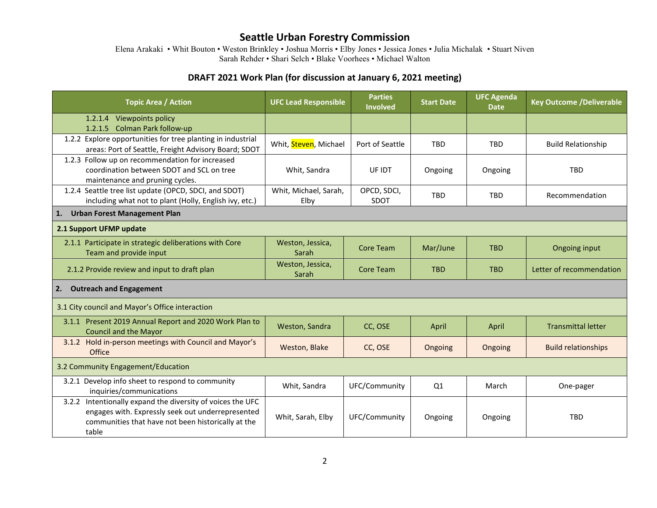Elena Arakaki • Whit Bouton • Weston Brinkley • Joshua Morris • Elby Jones • Jessica Jones • Julia Michalak • Stuart Niven Sarah Rehder • Shari Selch • Blake Voorhees • Michael Walton

## **DRAFT 2021 Work Plan (for discussion at January 6, 2021 meeting)**

| <b>Topic Area / Action</b>                                                                                                                                                     | <b>UFC Lead Responsible</b>   | <b>Parties</b><br><b>Involved</b> | <b>Start Date</b> | <b>UFC Agenda</b><br><b>Date</b> | <b>Key Outcome /Deliverable</b> |  |
|--------------------------------------------------------------------------------------------------------------------------------------------------------------------------------|-------------------------------|-----------------------------------|-------------------|----------------------------------|---------------------------------|--|
| 1.2.1.4 Viewpoints policy                                                                                                                                                      |                               |                                   |                   |                                  |                                 |  |
| 1.2.1.5 Colman Park follow-up                                                                                                                                                  |                               |                                   |                   |                                  |                                 |  |
| 1.2.2 Explore opportunities for tree planting in industrial<br>areas: Port of Seattle, Freight Advisory Board; SDOT                                                            | Whit, Steven, Michael         | Port of Seattle                   | <b>TBD</b>        | <b>TBD</b>                       | <b>Build Relationship</b>       |  |
| 1.2.3 Follow up on recommendation for increased<br>coordination between SDOT and SCL on tree<br>maintenance and pruning cycles.                                                | Whit, Sandra                  | UF IDT                            | Ongoing           | Ongoing                          | <b>TBD</b>                      |  |
| 1.2.4 Seattle tree list update (OPCD, SDCI, and SDOT)<br>including what not to plant (Holly, English ivy, etc.)                                                                | Whit, Michael, Sarah,<br>Elby | OPCD, SDCI,<br><b>SDOT</b>        | <b>TBD</b>        | <b>TBD</b>                       | Recommendation                  |  |
| <b>Urban Forest Management Plan</b><br>1.                                                                                                                                      |                               |                                   |                   |                                  |                                 |  |
| 2.1 Support UFMP update                                                                                                                                                        |                               |                                   |                   |                                  |                                 |  |
| 2.1.1 Participate in strategic deliberations with Core<br>Team and provide input                                                                                               | Weston, Jessica,<br>Sarah     | <b>Core Team</b>                  | Mar/June          | <b>TBD</b>                       | Ongoing input                   |  |
| 2.1.2 Provide review and input to draft plan                                                                                                                                   | Weston, Jessica,<br>Sarah     | <b>Core Team</b>                  | <b>TBD</b>        | <b>TBD</b>                       | Letter of recommendation        |  |
| <b>Outreach and Engagement</b><br>2.                                                                                                                                           |                               |                                   |                   |                                  |                                 |  |
| 3.1 City council and Mayor's Office interaction                                                                                                                                |                               |                                   |                   |                                  |                                 |  |
| 3.1.1 Present 2019 Annual Report and 2020 Work Plan to<br><b>Council and the Mayor</b>                                                                                         | Weston, Sandra                | CC, OSE                           | April             | April                            | <b>Transmittal letter</b>       |  |
| 3.1.2 Hold in-person meetings with Council and Mayor's<br>Office                                                                                                               | Weston, Blake                 | CC, OSE                           | Ongoing           | Ongoing                          | <b>Build relationships</b>      |  |
| 3.2 Community Engagement/Education                                                                                                                                             |                               |                                   |                   |                                  |                                 |  |
| 3.2.1 Develop info sheet to respond to community<br>inquiries/communications                                                                                                   | Whit, Sandra                  | UFC/Community                     | Q1                | March                            | One-pager                       |  |
| 3.2.2 Intentionally expand the diversity of voices the UFC<br>engages with. Expressly seek out underrepresented<br>communities that have not been historically at the<br>table | Whit, Sarah, Elby             | UFC/Community                     | Ongoing           | Ongoing                          | <b>TBD</b>                      |  |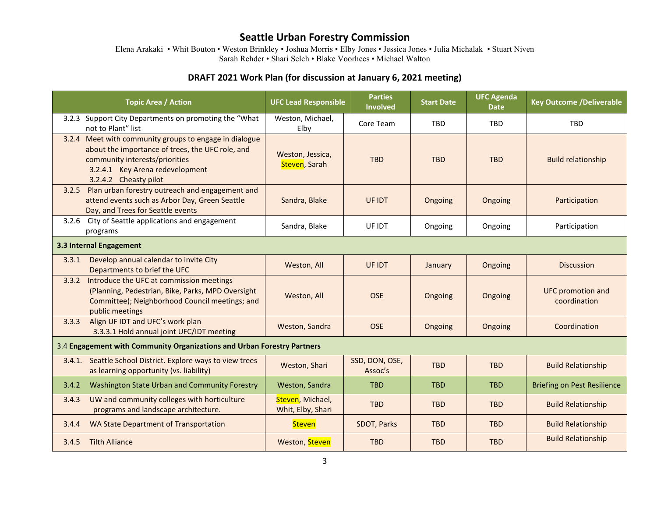Elena Arakaki • Whit Bouton • Weston Brinkley • Joshua Morris • Elby Jones • Jessica Jones • Julia Michalak • Stuart Niven Sarah Rehder • Shari Selch • Blake Voorhees • Michael Walton

## **DRAFT 2021 Work Plan (for discussion at January 6, 2021 meeting)**

|                                                                         | <b>Topic Area / Action</b>                                                                                                                                                                               | <b>UFC Lead Responsible</b>           | <b>Parties</b><br><b>Involved</b> | <b>Start Date</b> | <b>UFC Agenda</b><br><b>Date</b> | <b>Key Outcome /Deliverable</b>          |  |
|-------------------------------------------------------------------------|----------------------------------------------------------------------------------------------------------------------------------------------------------------------------------------------------------|---------------------------------------|-----------------------------------|-------------------|----------------------------------|------------------------------------------|--|
|                                                                         | 3.2.3 Support City Departments on promoting the "What<br>not to Plant" list                                                                                                                              | Weston, Michael,<br>Elby              | Core Team                         | <b>TBD</b>        | <b>TBD</b>                       | <b>TBD</b>                               |  |
|                                                                         | 3.2.4 Meet with community groups to engage in dialogue<br>about the importance of trees, the UFC role, and<br>community interests/priorities<br>3.2.4.1 Key Arena redevelopment<br>3.2.4.2 Cheasty pilot | Weston, Jessica,<br>Steven, Sarah     | <b>TBD</b>                        | <b>TBD</b>        | <b>TBD</b>                       | <b>Build relationship</b>                |  |
| 3.2.5                                                                   | Plan urban forestry outreach and engagement and<br>attend events such as Arbor Day, Green Seattle<br>Day, and Trees for Seattle events                                                                   | Sandra, Blake                         | UF IDT                            | Ongoing           | Ongoing                          | Participation                            |  |
|                                                                         | 3.2.6 City of Seattle applications and engagement<br>programs                                                                                                                                            | Sandra, Blake                         | UF IDT                            | Ongoing           | Ongoing                          | Participation                            |  |
| 3.3 Internal Engagement                                                 |                                                                                                                                                                                                          |                                       |                                   |                   |                                  |                                          |  |
| 3.3.1                                                                   | Develop annual calendar to invite City<br>Departments to brief the UFC                                                                                                                                   | Weston, All                           | UF IDT                            | January           | Ongoing                          | <b>Discussion</b>                        |  |
| 3.3.2                                                                   | Introduce the UFC at commission meetings<br>(Planning, Pedestrian, Bike, Parks, MPD Oversight<br>Committee); Neighborhood Council meetings; and<br>public meetings                                       | Weston, All                           | <b>OSE</b>                        | Ongoing           | Ongoing                          | <b>UFC</b> promotion and<br>coordination |  |
| 3.3.3                                                                   | Align UF IDT and UFC's work plan<br>3.3.3.1 Hold annual joint UFC/IDT meeting                                                                                                                            | Weston, Sandra                        | <b>OSE</b>                        | Ongoing           | Ongoing                          | Coordination                             |  |
| 3.4 Engagement with Community Organizations and Urban Forestry Partners |                                                                                                                                                                                                          |                                       |                                   |                   |                                  |                                          |  |
|                                                                         | 3.4.1. Seattle School District. Explore ways to view trees<br>as learning opportunity (vs. liability)                                                                                                    | Weston, Shari                         | SSD, DON, OSE,<br>Assoc's         | <b>TBD</b>        | <b>TBD</b>                       | <b>Build Relationship</b>                |  |
| 3.4.2                                                                   | Washington State Urban and Community Forestry                                                                                                                                                            | Weston, Sandra                        | <b>TBD</b>                        | <b>TBD</b>        | <b>TBD</b>                       | <b>Briefing on Pest Resilience</b>       |  |
| 3.4.3                                                                   | UW and community colleges with horticulture<br>programs and landscape architecture.                                                                                                                      | Steven, Michael,<br>Whit, Elby, Shari | <b>TBD</b>                        | <b>TBD</b>        | <b>TBD</b>                       | <b>Build Relationship</b>                |  |
| 3.4.4                                                                   | WA State Department of Transportation                                                                                                                                                                    | <b>Steven</b>                         | SDOT, Parks                       | <b>TBD</b>        | <b>TBD</b>                       | <b>Build Relationship</b>                |  |
| 3.4.5                                                                   | <b>Tilth Alliance</b>                                                                                                                                                                                    | Weston, Steven                        | <b>TBD</b>                        | <b>TBD</b>        | <b>TBD</b>                       | <b>Build Relationship</b>                |  |